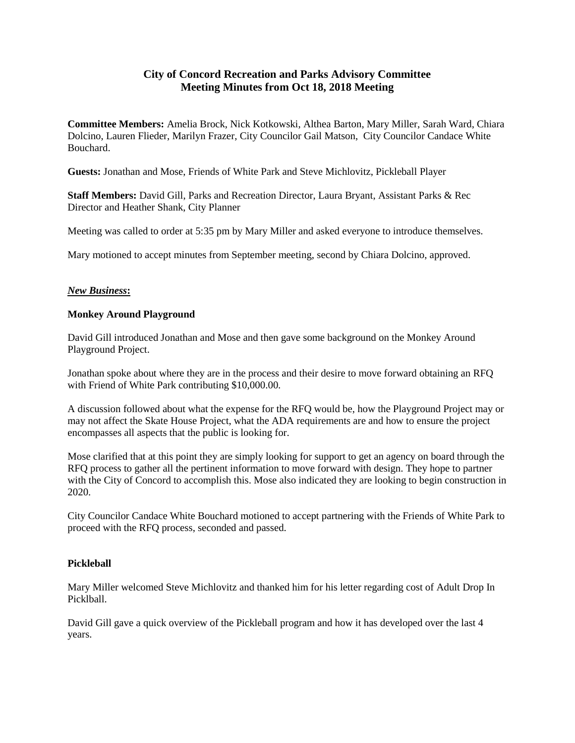## **City of Concord Recreation and Parks Advisory Committee Meeting Minutes from Oct 18, 2018 Meeting**

**Committee Members:** Amelia Brock, Nick Kotkowski, Althea Barton, Mary Miller, Sarah Ward, Chiara Dolcino, Lauren Flieder, Marilyn Frazer, City Councilor Gail Matson, City Councilor Candace White Bouchard.

**Guests:** Jonathan and Mose, Friends of White Park and Steve Michlovitz, Pickleball Player

**Staff Members:** David Gill, Parks and Recreation Director, Laura Bryant, Assistant Parks & Rec Director and Heather Shank, City Planner

Meeting was called to order at 5:35 pm by Mary Miller and asked everyone to introduce themselves.

Mary motioned to accept minutes from September meeting, second by Chiara Dolcino, approved.

## *New Business***:**

## **Monkey Around Playground**

David Gill introduced Jonathan and Mose and then gave some background on the Monkey Around Playground Project.

Jonathan spoke about where they are in the process and their desire to move forward obtaining an RFQ with Friend of White Park contributing \$10,000.00.

A discussion followed about what the expense for the RFQ would be, how the Playground Project may or may not affect the Skate House Project, what the ADA requirements are and how to ensure the project encompasses all aspects that the public is looking for.

Mose clarified that at this point they are simply looking for support to get an agency on board through the RFQ process to gather all the pertinent information to move forward with design. They hope to partner with the City of Concord to accomplish this. Mose also indicated they are looking to begin construction in 2020.

City Councilor Candace White Bouchard motioned to accept partnering with the Friends of White Park to proceed with the RFQ process, seconded and passed.

## **Pickleball**

Mary Miller welcomed Steve Michlovitz and thanked him for his letter regarding cost of Adult Drop In Picklball.

David Gill gave a quick overview of the Pickleball program and how it has developed over the last 4 years.